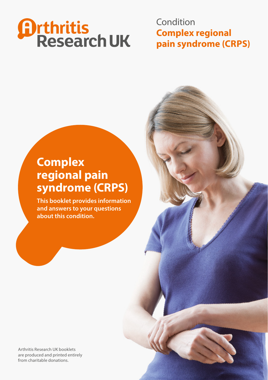# **Orthritis<br>Research UK**

Condition **Complex regional pain syndrome (CRPS)** 

## **Complex regional pain syndrome (CRPS)**

**This booklet provides information and answers to your questions about this condition.**

Arthritis Research UK booklets are produced and printed entirely from charitable donations.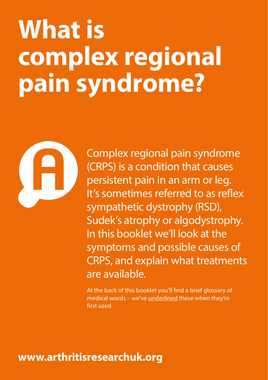## **What is complex regional pain syndrome?**



Complex regional pain syndrome (CRPS) is a condition that causes persistent pain in an arm or leg. It's sometimes referred to as reflex sympathetic dystrophy (RSD), Sudek's atrophy or algodystrophy. In this booklet we'll look at the symptoms and possible causes of CRPS, and explain what treatments are available.

At the back of this booklet you'll find a brief glossary of medical words – we've underlined these when they're first used.

## **<www.arthritisresearchuk.org>**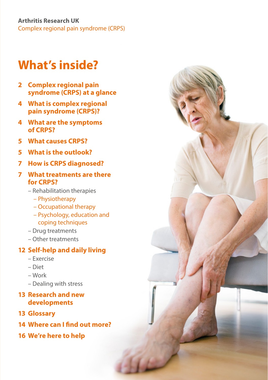#### **Arthritis Research UK** Complex regional pain syndrome (CRPS)

## **What's inside?**

- **[2 Complex regional pain](#page-3-0)  [syndrome \(CRPS\) at a glance](#page-3-0)**
- **[4 What is complex regional](#page-5-0)  [pain syndrome \(CRPS\)?](#page-5-0)**
- **[4 What are the symptoms](#page-5-1)  [of CRPS?](#page-5-1)**
- **[5 What causes CRPS?](#page-6-0)**
- **[5 What is the outlook?](#page-6-1)**
- **7 [How is CRPS diagnosed?](#page-8-0)**
- **7 What treatments are there for CRPS?**
	- [Rehabilitation therapies](#page-8-1)
		- [Physiotherapy](#page-9-0)
		- [Occupational therapy](#page-10-0)
		- [Psychology, education and](#page-12-0)  [coping techniques](#page-12-0)
	- [Drug treatments](#page-12-1)
	- [Other treatments](#page-12-2)

## **12 [Self-help and daily living](#page-13-0)**

- [Exercise](#page-13-1)
- [Diet](#page-13-2)
- [Work](#page-13-3)
- [Dealing with stress](#page-14-0)
- **[13 Research and new](#page-14-1)  [developments](#page-14-1)**
- **13 [Glossary](#page-14-2)**
- **14 [Where can I find out more?](#page-15-0)**
- **16 We're here to help**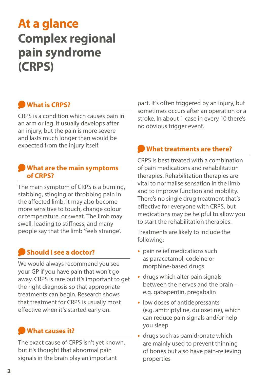## <span id="page-3-0"></span>**At a glance Complex regional pain syndrome (CRPS)**

## **What is CRPS?**

CRPS is a condition which causes pain in an arm or leg. It usually develops after an injury, but the pain is more severe and lasts much longer than would be expected from the injury itself.

#### **What are the main symptoms of CRPS?**

The main symptom of CRPS is a burning, stabbing, stinging or throbbing pain in the affected limb. It may also become more sensitive to touch, change colour or temperature, or sweat. The limb may swell, leading to stiffness, and many people say that the limb 'feels strange'.

## **Should I see a doctor?**

We would always recommend you see your GP if you have pain that won't go away. CRPS is rare but it's important to get the right diagnosis so that appropriate treatments can begin. Research shows that treatment for CRPS is usually most effective when it's started early on.

## **What causes it?**

The exact cause of CRPS isn't yet known, but it's thought that abnormal pain signals in the brain play an important

part. It's often triggered by an injury, but sometimes occurs after an operation or a stroke. In about 1 case in every 10 there's no obvious trigger event.

## **What treatments are there?**

CRPS is best treated with a combination of pain medications and rehabilitation therapies. Rehabilitation therapies are vital to normalise sensation in the limb and to improve function and mobility. There's no single drug treatment that's effective for everyone with CRPS, but medications may be helpful to allow you to start the rehabilitation therapies.

Treatments are likely to include the following:

- **•** pain relief medications such as paracetamol, codeine or morphine-based drugs
- **•** drugs which alter pain signals between the nerves and the brain – e.g. gabapentin, pregabalin
- **•** low doses of antidepressants (e.g. amitriptyline, duloxetine), which can reduce pain signals and/or help you sleep
- **•** drugs such as pamidronate which are mainly used to prevent thinning of bones but also have pain-relieving properties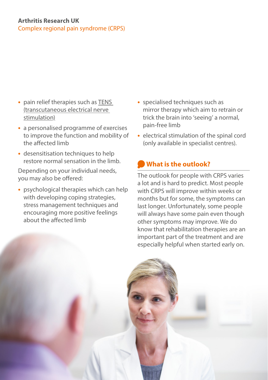Complex regional pain syndrome (CRPS)

- **•** pain relief therapies such as [TENS](#page-15-1)  [\(transcutaneous electrical nerve](#page-15-1)  [stimulation\)](#page-15-1)
- **•** a personalised programme of exercises to improve the function and mobility of the affected limb
- desensitisation techniques to help restore normal sensation in the limb.

Depending on your individual needs, you may also be offered:

**•** psychological therapies which can help with developing coping strategies, stress management techniques and encouraging more positive feelings about the affected limb

- **•** specialised techniques such as mirror therapy which aim to retrain or trick the brain into 'seeing' a normal, pain-free limb
- **•** electrical stimulation of the spinal cord (only available in specialist centres).

## **What is the outlook?**

The outlook for people with CRPS varies a lot and is hard to predict. Most people with CRPS will improve within weeks or months but for some, the symptoms can last longer. Unfortunately, some people will always have some pain even though other symptoms may improve. We do know that rehabilitation therapies are an important part of the treatment and are especially helpful when started early on.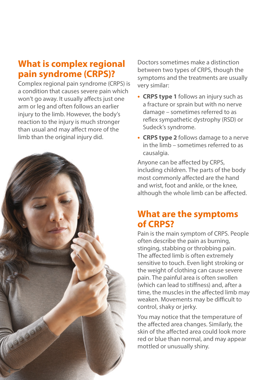## <span id="page-5-0"></span>**What is complex regional pain syndrome (CRPS)?**

Complex regional pain syndrome (CRPS) is a condition that causes severe pain which won't go away. It usually affects just one arm or leg and often follows an earlier injury to the limb. However, the body's reaction to the injury is much stronger than usual and may affect more of the limb than the original injury did.



Doctors sometimes make a distinction between two types of CRPS, though the symptoms and the treatments are usually very similar:

- **• CRPS type 1** follows an injury such as a fracture or sprain but with no nerve damage – sometimes referred to as reflex sympathetic dystrophy (RSD) or Sudeck's syndrome.
- **• CRPS type 2** follows damage to a nerve in the limb – sometimes referred to as causalgia.

Anyone can be affected by CRPS, including children. The parts of the body most commonly affected are the hand and wrist, foot and ankle, or the knee, although the whole limb can be affected.

## <span id="page-5-1"></span>**What are the symptoms of CRPS?**

Pain is the main symptom of CRPS. People often describe the pain as burning, stinging, stabbing or throbbing pain. The affected limb is often extremely sensitive to touch. Even light stroking or the weight of clothing can cause severe pain. The painful area is often swollen (which can lead to stiffness) and, after a time, the muscles in the affected limb may weaken. Movements may be difficult to control, shaky or jerky.

You may notice that the temperature of the affected area changes. Similarly, the skin of the affected area could look more red or blue than normal, and may appear mottled or unusually shiny.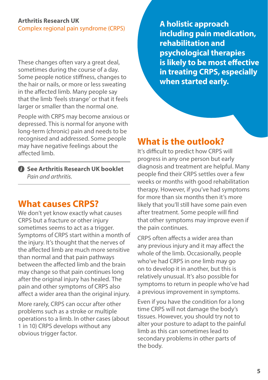Complex regional pain syndrome (CRPS)

These changes often vary a great deal, sometimes during the course of a day. Some people notice stiffness, changes to the hair or nails, or more or less sweating in the affected limb. Many people say that the limb 'feels strange' or that it feels larger or smaller than the normal one.

People with CRPS may become anxious or depressed. This is normal for anyone with long-term (chronic) pain and needs to be recognised and addressed. Some people may have negative feelings about the affected limb.

*C* See Arthritis Research UK booklet *Pain and arthritis.*

## <span id="page-6-0"></span>**What causes CRPS?**

We don't yet know exactly what causes CRPS but a fracture or other injury sometimes seems to act as a trigger. Symptoms of CRPS start within a month of the injury. It's thought that the nerves of the affected limb are much more sensitive than normal and that pain pathways between the affected limb and the brain may change so that pain continues long after the original injury has healed. The pain and other symptoms of CRPS also affect a wider area than the original injury.

More rarely, CRPS can occur after other problems such as a stroke or multiple operations to a limb. In other cases (about 1 in 10) CRPS develops without any obvious trigger factor.

**A holistic approach including pain medication, rehabilitation and psychological therapies is likely to be most effective in treating CRPS, especially when started early.**

## <span id="page-6-1"></span>**What is the outlook?**

It's difficult to predict how CRPS will progress in any one person but early diagnosis and treatment are helpful. Many people find their CRPS settles over a few weeks or months with good rehabilitation therapy. However, if you've had symptoms for more than six months then it's more likely that you'll still have some pain even after treatment. Some people will find that other symptoms may improve even if the pain continues.

CRPS often affects a wider area than any previous injury and it may affect the whole of the limb. Occasionally, people who've had CRPS in one limb may go on to develop it in another, but this is relatively unusual. It's also possible for symptoms to return in people who've had a previous improvement in symptoms.

Even if you have the condition for a long time CRPS will not damage the body's tissues. However, you should try not to alter your posture to adapt to the painful limb as this can sometimes lead to secondary problems in other parts of the body.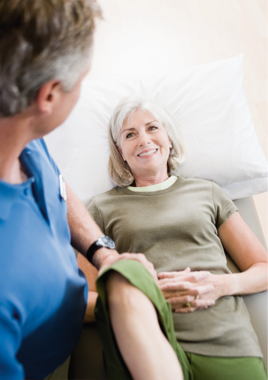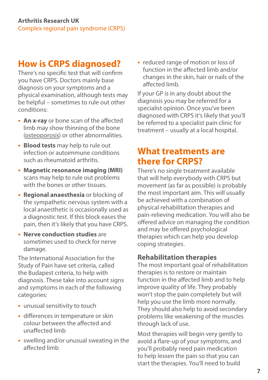## <span id="page-8-0"></span>**How is CRPS diagnosed?**

There's no specific test that will confirm you have CRPS. Doctors mainly base diagnosis on your symptoms and a physical examination, although tests may be helpful – sometimes to rule out other conditions:

- **• An x-ray** or bone scan of the affected limb may show thinning of the bone [\(osteoporosis\)](#page-15-2) or other abnormalities.
- **• Blood tests** may help to rule out infection or autoimmune conditions such as rheumatoid arthritis.
- **• Magnetic resonance imaging (MRI)** scans may help to rule out problems with the bones or other tissues.
- **• Regional anaesthesia** or blocking of the sympathetic nervous system with a local anaesthetic is occasionally used as a diagnostic test. If this block eases the pain, then it's likely that you have CRPS.
- **• Nerve conduction studies** are sometimes used to check for nerve damage.

The International Association for the Study of Pain have set criteria, called the Budapest criteria, to help with diagnosis. These take into account signs and symptoms in each of the following categories:

- **•** unusual sensitivity to touch
- **•** differences in temperature or skin colour between the affected and unaffected limb
- **•** swelling and/or unusual sweating in the affected limb

**•** reduced range of motion or loss of function in the affected limb and/or changes in the skin, hair or nails of the affected limb.

If your GP is in any doubt about the diagnosis you may be referred for a specialist opinion. Once you've been diagnosed with CRPS it's likely that you'll be referred to a specialist pain clinic for treatment – usually at a local hospital.

## **What treatments are there for CRPS?**

There's no single treatment available that will help everybody with CRPS but movement (as far as possible) is probably the most important aim. This will usually be achieved with a combination of physical rehabilitation therapies and pain-relieving medication. You will also be offered advice on managing the condition and may be offered psychological therapies which can help you develop coping strategies.

## <span id="page-8-1"></span>**Rehabilitation therapies**

The most important goal of rehabilitation therapies is to restore or maintain function in the affected limb and to help improve quality of life. They probably won't stop the pain completely but will help you use the limb more normally. They should also help to avoid secondary problems like weakening of the muscles through lack of use.

Most therapies will begin very gently to avoid a flare-up of your symptoms, and you'll probably need pain medication to help lessen the pain so that you can start the therapies. You'll need to build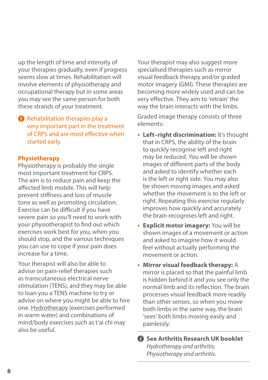up the length of time and intensity of your therapies gradually, even if progress seems slow at times. Rehabilitation will involve elements of physiotherapy and occupational therapy but in some areas you may see the same person for both these strands of your treatment.

**A** Rehabilitation therapies play a very important part in the treatment of CRPS and are most effective when started early.

#### <span id="page-9-0"></span>**Physiotherapy**

Physiotherapy is probably the single most important treatment for CRPS. The aim is to reduce pain and keep the affected limb mobile. This will help prevent stiffness and loss of muscle tone as well as promoting circulation. Exercise can be difficult if you have severe pain so you'll need to work with your physiotherapist to find out which exercises work best for you, when you should stop, and the various techniques you can use to cope if your pain does increase for a time.

Your therapist will also be able to advise on pain-relief therapies such as transcutaneous electrical nerve stimulation (TENS), and they may be able to loan you a TENS machine to try or advise on where you might be able to hire one. [Hydrotherapy](#page-14-3) (exercises performed in warm water) and combinations of mind/body exercises such as t'ai chi may also be useful.

Your therapist may also suggest more specialised therapies such as mirror visual feedback therapy and/or graded motor imagery (GMI). These therapies are becoming more widely used and can be very effective. They aim to 'retrain' the way the brain interacts with the limbs.

Graded image therapy consists of three elements:

- **• Left–right discrimination:** It's thought that in CRPS, the ability of the brain to quickly recognise left and right may be reduced. You will be shown images of different parts of the body and asked to identify whether each is the left or right side. You may also be shown moving images and asked whether the movement is to the left or right. Repeating this exercise regularly improves how quickly and accurately the brain recognises left and right.
- **• Explicit motor imagery:** You will be shown images of a movement or action and asked to imagine how it would feel without actually performing the movement or action.
- **• Mirror visual feedback therapy:** A mirror is placed so that the painful limb is hidden behind it and you see only the normal limb and its reflection. The brain processes visual feedback more readily than other senses, so when you move both limbs in the same way, the brain 'sees' both limbs moving easily and painlessly.
- *O* See Arthritis Research UK booklet *Hydrotherapy and arthritis; Physiotherapy and arthritis.*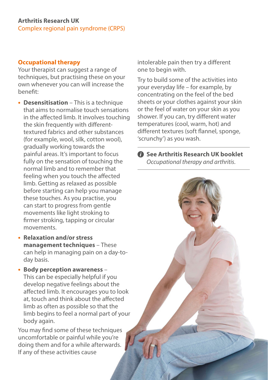Complex regional pain syndrome (CRPS)

#### <span id="page-10-0"></span>**Occupational therapy**

Your therapist can suggest a range of techniques, but practising these on your own whenever you can will increase the benefit:

- **• Desensitisation** This is a technique that aims to normalise touch sensations in the affected limb. It involves touching the skin frequently with differenttextured fabrics and other substances (for example, wool, silk, cotton wool), gradually working towards the painful areas. It's important to focus fully on the sensation of touching the normal limb and to remember that feeling when you touch the affected limb. Getting as relaxed as possible before starting can help you manage these touches. As you practise, you can start to progress from gentle movements like light stroking to firmer stroking, tapping or circular movements.
- **• Relaxation and/or stress management techniques** – These can help in managing pain on a day-today basis.
- **• Body perception awareness** This can be especially helpful if you develop negative feelings about the affected limb. It encourages you to look at, touch and think about the affected limb as often as possible so that the limb begins to feel a normal part of your body again.

You may find some of these techniques uncomfortable or painful while you're doing them and for a while afterwards. If any of these activities cause

intolerable pain then try a different one to begin with.

Try to build some of the activities into your everyday life – for example, by concentrating on the feel of the bed sheets or your clothes against your skin or the feel of water on your skin as you shower. If you can, try different water temperatures (cool, warm, hot) and different textures (soft flannel, sponge, 'scrunchy') as you wash.

**Combined See Arthritis Research UK booklet** *Occupational therapy and arthritis.*

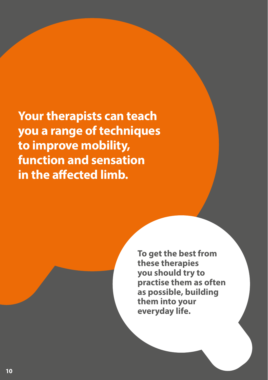**Your therapists can teach you a range of techniques to improve mobility, function and sensation in the affected limb.**

> **To get the best from these therapies you should try to practise them as often as possible, building them into your everyday life.**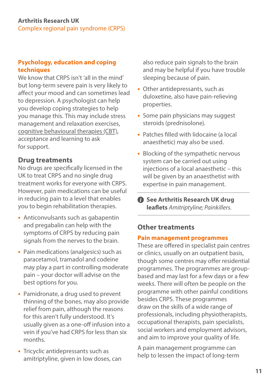Complex regional pain syndrome (CRPS)

#### <span id="page-12-0"></span>**Psychology, education and coping techniques**

We know that CRPS isn't 'all in the mind' but long-term severe pain is very likely to affect your mood and can sometimes lead to depression. A psychologist can help you develop coping strategies to help you manage this. This may include stress management and relaxation exercises, [cognitive behavioural therapies \(CBT\),](#page-14-4) acceptance and learning to ask for support.

## <span id="page-12-1"></span>**Drug treatments**

No drugs are specifically licensed in the UK to treat CRPS and no single drug treatment works for everyone with CRPS. However, pain medications can be useful in reducing pain to a level that enables you to begin rehabilitation therapies.

- **•** Anticonvulsants such as gabapentin and pregabalin can help with the symptoms of CRPS by reducing pain signals from the nerves to the brain.
- **•** Pain medications (analgesics) such as paracetamol, tramadol and codeine may play a part in controlling moderate pain – your doctor will advise on the best options for you.
- **•** Pamidronate, a drug used to prevent thinning of the bones, may also provide relief from pain, although the reasons for this aren't fully understood. It's usually given as a one-off infusion into a vein if you've had CRPS for less than six months.
- **•** Tricyclic antidepressants such as amitriptyline, given in low doses, can

also reduce pain signals to the brain and may be helpful if you have trouble sleeping because of pain.

- **•** Other antidepressants, such as duloxetine, also have pain-relieving properties.
- **•** Some pain physicians may suggest steroids (prednisolone).
- **•** Patches filled with lidocaine (a local anaesthetic) may also be used.
- **•** Blocking of the sympathetic nervous system can be carried out using injections of a local anaesthetic – this will be given by an anaesthetist with expertise in pain management.

**f** See Arthritis Research UK drug **leaflets** *Amitriptyline; Painkillers.*

## <span id="page-12-2"></span>**Other treatments**

#### **Pain management programmes**

These are offered in specialist pain centres or clinics, usually on an outpatient basis, though some centres may offer residential programmes. The programmes are groupbased and may last for a few days or a few weeks. There will often be people on the programme with other painful conditions besides CRPS. These programmes draw on the skills of a wide range of professionals, including physiotherapists, occupational therapists, pain specialists, social workers and employment advisors, and aim to improve your quality of life.

A pain management programme can help to lessen the impact of long-term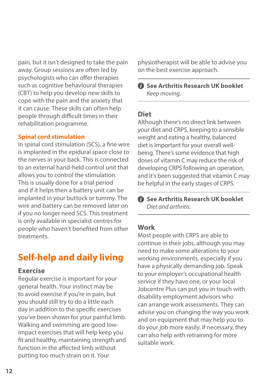pain, but it isn't designed to take the pain away. Group sessions are often led by psychologists who can offer therapies such as cognitive behavioural therapies (CBT) to help you develop new skills to cope with the pain and the anxiety that it can cause. These skills can often help people through difficult times in their rehabilitation programme.

#### **Spinal cord stimulation**

In spinal cord stimulation (SCS), a fine wire is implanted in the epidural space close to the nerves in your back. This is connected to an external hand-held control unit that allows you to control the stimulation. This is usually done for a trial period and if it helps then a battery unit can be implanted in your buttock or tummy. The wire and battery can be removed later on if you no longer need SCS. This treatment is only available in specialist centres for people who haven't benefited from other treatments.

## <span id="page-13-0"></span>**Self-help and daily living**

## <span id="page-13-1"></span>**Exercise**

Regular exercise is important for your general health. Your instinct may be to avoid exercise if you're in pain, but you should still try to do a little each day in addition to the specific exercises you've been shown for your painful limb. Walking and swimming are good lowimpact exercises that will help keep you fit and healthy, maintaining strength and function in the affected limb without putting too much strain on it. Your

physiotherapist will be able to advise you on the best exercise approach.

*C* See Arthritis Research UK booklet *Keep moving.*

## <span id="page-13-2"></span>**Diet**

Although there's no direct link between your diet and CRPS, keeping to a sensible weight and eating a healthy, balanced diet is important for your overall wellbeing. There's some evidence that high doses of vitamin C may reduce the risk of developing CRPS following an operation, and it's been suggested that vitamin C may be helpful in the early stages of CRPS.

*C* See Arthritis Research UK booklet *Diet and arthritis.*

## <span id="page-13-3"></span>**Work**

Most people with CRPS are able to continue in their jobs, although you may need to make some alterations to your working environments, especially if you have a physically demanding job. Speak to your employer's occupational health service if they have one, or your local Jobcentre Plus can put you in touch with disability employment advisors who can arrange work assessments. They can advise you on changing the way you work and on equipment that may help you to do your job more easily. If necessary, they can also help with retraining for more suitable work.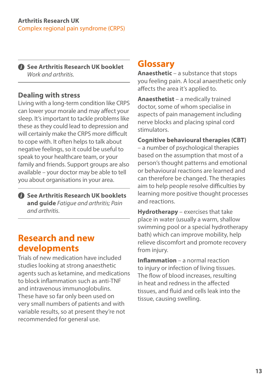**See Arthritis Research UK booklet**  *Work and arthritis.*

## <span id="page-14-0"></span>**Dealing with stress**

Living with a long-term condition like CRPS can lower your morale and may affect your sleep. It's important to tackle problems like these as they could lead to depression and will certainly make the CRPS more difficult to cope with. It often helps to talk about negative feelings, so it could be useful to speak to your healthcare team, or your family and friends. Support groups are also available – your doctor may be able to tell you about organisations in your area.

**Compared See Arthritis Research UK booklets and guide** *Fatigue and arthritis; Pain and arthritis.*

## <span id="page-14-1"></span>**Research and new developments**

Trials of new medication have included studies looking at strong anaesthetic agents such as ketamine, and medications to block inflammation such as anti-TNF and intravenous immunoglobulins. These have so far only been used on very small numbers of patients and with variable results, so at present they're not recommended for general use.

## <span id="page-14-2"></span>**Glossary**

**Anaesthetic** – a substance that stops you feeling pain. A local anaesthetic only affects the area it's applied to.

**Anaesthetist** – a medically trained doctor, some of whom specialise in aspects of pain management including nerve blocks and placing spinal cord stimulators.

<span id="page-14-4"></span>**Cognitive behavioural therapies (CBT)**

– a number of psychological therapies based on the assumption that most of a person's thought patterns and emotional or behavioural reactions are learned and can therefore be changed. The therapies aim to help people resolve difficulties by learning more positive thought processes and reactions.

<span id="page-14-3"></span>**Hydrotherapy** – exercises that take place in water (usually a warm, shallow swimming pool or a special hydrotherapy bath) which can improve mobility, help relieve discomfort and promote recovery from injury.

**Inflammation** – a normal reaction to injury or infection of living tissues. The flow of blood increases, resulting in heat and redness in the affected tissues, and fluid and cells leak into the tissue, causing swelling.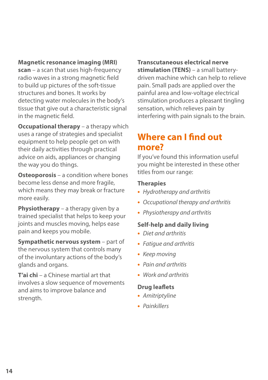**Magnetic resonance imaging (MRI)** 

**scan** – a scan that uses high-frequency radio waves in a strong magnetic field to build up pictures of the soft-tissue structures and bones. It works by detecting water molecules in the body's tissue that give out a characteristic signal in the magnetic field.

**Occupational therapy** – a therapy which uses a range of strategies and specialist equipment to help people get on with their daily activities through practical advice on aids, appliances or changing the way you do things.

<span id="page-15-2"></span>**Osteoporosis** – a condition where bones become less dense and more fragile, which means they may break or fracture more easily.

**Physiotherapy** – a therapy given by a trained specialist that helps to keep your joints and muscles moving, helps ease pain and keeps you mobile.

**Sympathetic nervous system** – part of the nervous system that controls many of the involuntary actions of the body's glands and organs.

**T'ai chi** – a Chinese martial art that involves a slow sequence of movements and aims to improve balance and strength.

<span id="page-15-1"></span>**Transcutaneous electrical nerve stimulation (TENS)** – a small batterydriven machine which can help to relieve pain. Small pads are applied over the painful area and low-voltage electrical stimulation produces a pleasant tingling sensation, which relieves pain by interfering with pain signals to the brain.

## <span id="page-15-0"></span>**Where can I find out more?**

If you've found this information useful you might be interested in these other titles from our range:

#### **Therapies**

- **•** *Hydrotherapy and arthritis*
- **•** *Occupational therapy and arthritis*
- **•** *Physiotherapy and arthritis*

## **Self-help and daily living**

- **•** *Diet and arthritis*
- **•** *Fatigue and arthritis*
- **•** *Keep moving*
- **•** *Pain and arthritis*
- **•** *Work and arthritis*

## **Drug leaflets**

- **•** *Amitriptyline*
- **•** *Painkillers*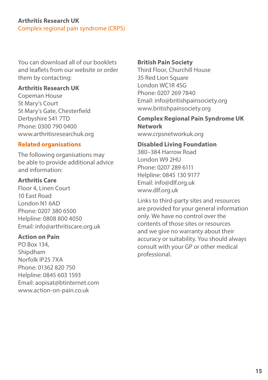Complex regional pain syndrome (CRPS)

You can download all of our booklets and leaflets from our website or order them by contacting:

#### **Arthritis Research UK**

Copeman House St Mary's Court St Mary's Gate, Chesterfield Derbyshire S41 7TD Phone: 0300 790 0400 <www.arthritisresearchuk.org>

## **Related organisations**

The following organisations may be able to provide additional advice and information:

## **Arthritis Care**

Floor 4, Linen Court 10 East Road London N1 6AD Phone: 0207 380 6500 Helpline: 0808 800 4050 Email: [info@arthritiscare.org.uk](mailto:info@arthritiscare.org.uk)

## **Action on Pain**

PO Box 134, Shipdham Norfolk IP25 7XA Phone: 01362 820 750 Helpline: 0845 603 1593 Email: [aopisat@btinternet.com](mailto:aopisat@btinternet.com) <www.action-on-pain.co.uk>

## **British Pain Society**

Third Floor, Churchill House 35 Red Lion Square London WC1R 4SG Phone: 0207 269 7840 Email: [info@britishpainsociety.org](mailto:info@britishpainsociety.org) <www.britishpainsociety.org>

## **Complex Regional Pain Syndrome UK Network**

<www.crpsnetworkuk.org>

#### **Disabled Living Foundation**

380–384 Harrow Road London W9 2HU Phone: 0207 289 6111 Helpline: 0845 130 9177 Email: [info@dlf.org.uk](mailto:info@dlf.org.uk) <www.dlf.org.uk>

Links to third-party sites and resources are provided for your general information only. We have no control over the contents of those sites or resources and we give no warranty about their accuracy or suitability. You should always consult with your GP or other medical professional.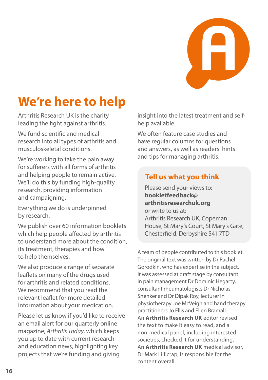

## **We're here to help**

Arthritis Research UK is the charity leading the fight against arthritis.

We fund scientific and medical research into all types of arthritis and musculoskeletal conditions.

We're working to take the pain away for sufferers with all forms of arthritis and helping people to remain active. We'll do this by funding high-quality research, providing information and campaigning.

Everything we do is underpinned by research.

We publish over 60 information booklets which help people affected by arthritis to understand more about the condition, its treatment, therapies and how to help themselves.

We also produce a range of separate leaflets on many of the drugs used for arthritis and related conditions. We recommend that you read the relevant leaflet for more detailed information about your medication.

Please let us know if you'd like to receive an email alert for our quarterly online magazine, *Arthritis Today*, which keeps you up to date with current research and education news, highlighting key projects that we're funding and giving

insight into the latest treatment and selfhelp available.

We often feature case studies and have regular columns for questions and answers, as well as readers' hints and tips for managing arthritis.

## **Tell us what you think**

Please send your views to: **[bookletfeedback@](mailto:bookletfeedback@arthritisresearchuk.org) [arthritisresearchuk.org](mailto:bookletfeedback@arthritisresearchuk.org)** or write to us at: Arthritis Research UK, Copeman House, St Mary's Court, St Mary's Gate, Chesterfield, Derbyshire S41 7TD

A team of people contributed to this booklet. The original text was written by Dr Rachel Gorodkin, who has expertise in the subject. It was assessed at draft stage by consultant in pain management Dr Dominic Hegarty, consultant rheumatologists Dr Nicholas Shenker and Dr Dipak Roy, lecturer in physiotherapy Joe McVeigh and hand therapy practitioners Jo Ellis and Ellen Bramall. An **Arthritis Research UK** editor revised the text to make it easy to read, and a non-medical panel, including interested societies, checked it for understanding. An **Arthritis Research UK** medical advisor, Dr Mark Lillicrap, is responsible for the content overall.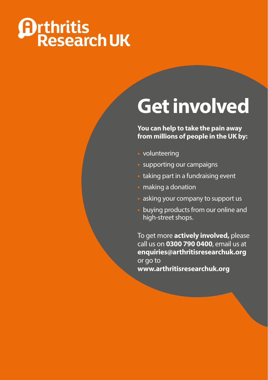# **Orthritis<br>Research UK**

## **Get involved**

**You can help to take the pain away from millions of people in the UK by:**

- **•** volunteering
- **•** supporting our campaigns
- **•** taking part in a fundraising event
- **•** making a donation
- **•** asking your company to support us
- **•** buying products from our online and high-street shops.

To get more **actively involved,** please call us on **0300 790 0400**, email us at **[enquiries@arthritisresearchuk.org](mailto:enquiries@arthritisresearchuk.org)** or go to

**<www.arthritisresearchuk.org>**